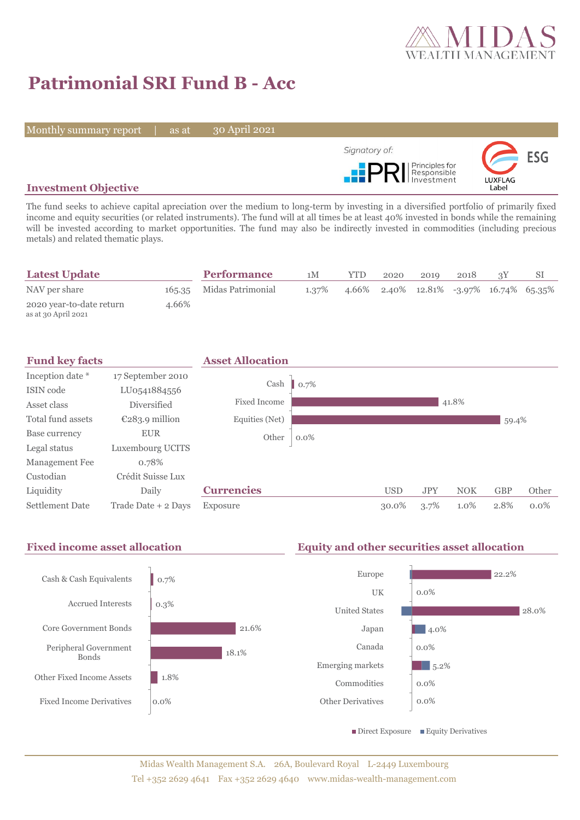

# **Patrimonial SRI Fund B - Acc**

Monthly summary report | as at

30 April 2021



### **Investment Objective**

The fund seeks to achieve capital apreciation over the medium to long-term by investing in a diversified portfolio of primarily fixed income and equity securities (or related instruments). The fund will at all times be at least 40% invested in bonds while the remaining will be invested according to market opportunities. The fund may also be indirectly invested in commodities (including precious metals) and related thematic plays.

| <b>Latest Update</b>                            |       | <b>Performance</b>       | 1M    | <b>YTD</b> | 2020 | 2019 | 2018 |                                         |
|-------------------------------------------------|-------|--------------------------|-------|------------|------|------|------|-----------------------------------------|
| NAV per share                                   |       | 165.35 Midas Patrimonial | 1.37% |            |      |      |      | 4.66% 2.40% 12.81% -3.97% 16.74% 65.35% |
| 2020 year-to-date return<br>as at 30 April 2021 | 4.66% |                          |       |            |      |      |      |                                         |



#### Fixed income asset allocation **Equity and other securities asset allocation** 0.7% 0.3% 21.6% 18.1% 1.8% 0.0% Cash & Cash Equivalents Accrued Interests Core Government Bonds Peripheral Government Bonds Other Fixed Income Assets Fixed Income Derivatives  $22.2%$ 0.0% 28.0% 4.0% 0.0%  $\blacksquare$  5.2% 0.0% 0.0% Europe **IIK** United States Japan Canada Emerging markets Commodities Other Derivatives  $\blacksquare$  Direct Exposure  $\blacksquare$  Equity Derivatives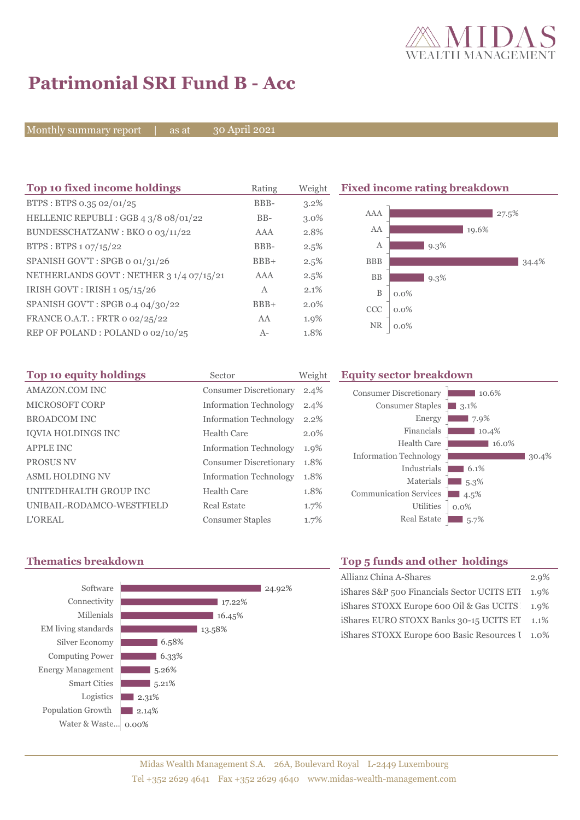

## **Patrimonial SRI Fund B - Acc**

Monthly summary report | as at

30 April 2021

| Top 10 fixed income holdings            | Rating | Weight  |              | <b>Fixed income rating breakdown</b> |
|-----------------------------------------|--------|---------|--------------|--------------------------------------|
| BTPS: BTPS 0.35 02/01/25                | BBB-   | 3.2%    |              |                                      |
| HELLENIC REPUBLI: GGB 4 3/8 08/01/22    | $BB-$  | $3.0\%$ | AAA          | 27.5%                                |
| BUNDESSCHATZANW: BKO 0 03/11/22         | AAA    | 2.8%    | AA           | 19.6%                                |
| BTPS: BTPS 1 07/15/22                   | BBB-   | $2.5\%$ | А            | $9.3\%$                              |
| SPANISH GOV'T: SPGB o 01/31/26          | $BBB+$ | 2.5%    | <b>BBB</b>   | 34.4%                                |
| NETHERLANDS GOVT: NETHER 3 1/4 07/15/21 | AAA    | 2.5%    | BB           | $9.3\%$                              |
| IRISH GOVT: IRISH 1 05/15/26            | A      | 2.1%    | $\, {\bf B}$ | $0.0\%$                              |
| SPANISH GOV'T: SPGB 0.4 04/30/22        | $BBB+$ | 2.0%    | CCC          | $0.0\%$                              |
| FRANCE O.A.T.: FRTR 0 02/25/22          | AA     | 1.9%    | <b>NR</b>    | $0.0\%$                              |
| REP OF POLAND: POLAND 0 02/10/25        | $A-$   | 1.8%    |              |                                      |

| Top 10 equity holdings        | Sector                        | Weight  |
|-------------------------------|-------------------------------|---------|
| AMAZON.COM INC                | <b>Consumer Discretionary</b> | $2.4\%$ |
| <b>MICROSOFT CORP</b>         | <b>Information Technology</b> | 2.4%    |
| <b>BROADCOM INC</b>           | <b>Information Technology</b> | 2.2%    |
| <b>IOVIA HOLDINGS INC</b>     | Health Care                   | 2.0%    |
| <b>APPLE INC</b>              | <b>Information Technology</b> | 1.9%    |
| PROSUS NV                     | <b>Consumer Discretionary</b> | 1.8%    |
| <b>ASML HOLDING NV</b>        | <b>Information Technology</b> | 1.8%    |
| <b>UNITEDHEALTH GROUP INC</b> | Health Care                   | 1.8%    |
| UNIBAIL-RODAMCO-WESTFIELD     | Real Estate                   | 1.7%    |
| <b>L'OREAL</b>                | <b>Consumer Staples</b>       | 1.7%    |

#### **Equity sector breakdown**





## **Thematics breakdown Top 5 funds and other holdings**

| Allianz China A-Shares                           | 2.9%    |
|--------------------------------------------------|---------|
| iShares S&P 500 Financials Sector UCITS ETI 1.9% |         |
| iShares STOXX Europe 600 Oil & Gas UCITS 1.9%    |         |
| iShares EURO STOXX Banks 30-15 UCITS ET          | $1.1\%$ |
| iShares STOXX Europe 600 Basic Resources I 1.0%  |         |